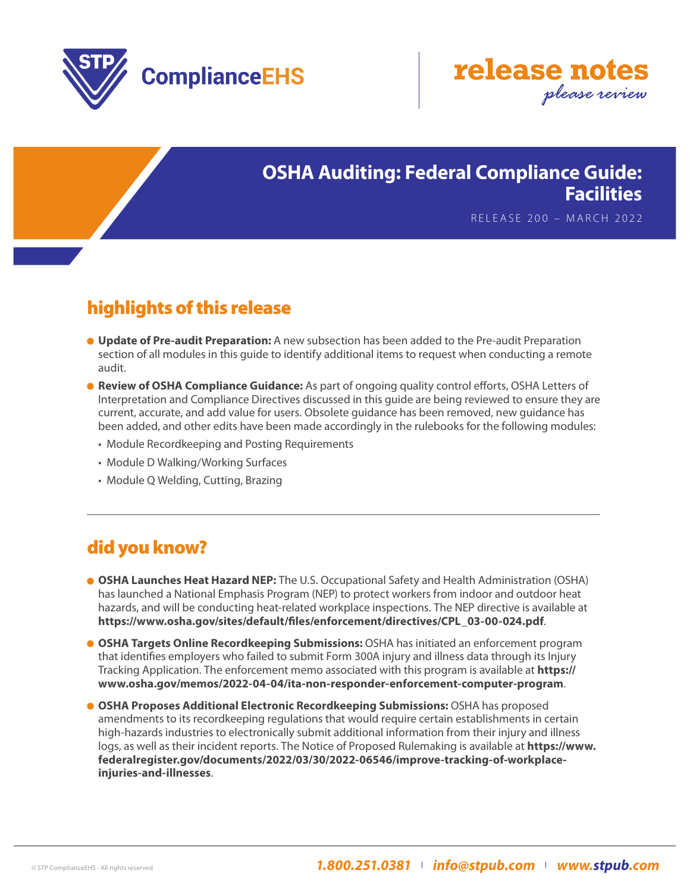



#### **OSHA Auditing: Federal Compliance Guide: Facilities**

RELEASE 200 – MARCH 2022

# highlights of this release

- **Update of Pre-audit Preparation:** A new subsection has been added to the Pre-audit Preparation section of all modules in this guide to identify additional items to request when conducting a remote audit.
- **Review of OSHA Compliance Guidance:** As part of ongoing quality control efforts, OSHA Letters of Interpretation and Compliance Directives discussed in this guide are being reviewed to ensure they are current, accurate, and add value for users. Obsolete guidance has been removed, new guidance has been added, and other edits have been made accordingly in the rulebooks for the following modules:
	- Module Recordkeeping and Posting Requirements
	- Module D Walking/Working Surfaces
	- Module Q Welding, Cutting, Brazing

## did you know?

- **OSHA Launches Heat Hazard NEP:** The U.S. Occupational Safety and Health Administration (OSHA) has launched a National Emphasis Program (NEP) to protect workers from indoor and outdoor heat hazards, and will be conducting heat-related workplace inspections. The NEP directive is available at **https://www.osha.gov/sites/default/files/enforcement/directives/CPL\_03-00-024.pdf**.
- **OSHA Targets Online Recordkeeping Submissions:** OSHA has initiated an enforcement program that identifies employers who failed to submit Form 300A injury and illness data through its Injury Tracking Application. The enforcement memo associated with this program is available at **https:// www.osha.gov/memos/2022-04-04/ita-non-responder-enforcement-computer-program**.
- **OSHA Proposes Additional Electronic Recordkeeping Submissions: OSHA has proposed** amendments to its recordkeeping regulations that would require certain establishments in certain high-hazards industries to electronically submit additional information from their injury and illness logs, as well as their incident reports. The Notice of Proposed Rulemaking is available at **https://www. federalregister.gov/documents/2022/03/30/2022-06546/improve-tracking-of-workplaceinjuries-and-illnesses**.